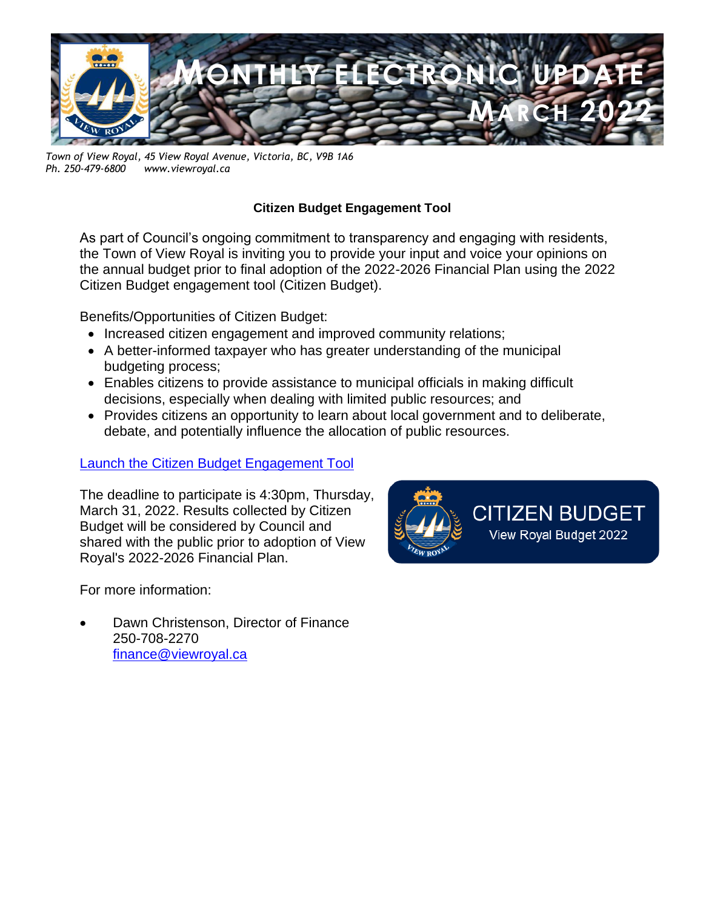

*Town of View Royal, 45 View Royal Avenue, Victoria, BC, V9B 1A6 Ph. 250-479-6800 www.viewroyal.ca*

## **Citizen Budget Engagement Tool**

As part of Council's ongoing commitment to transparency and engaging with residents, the Town of View Royal is inviting you to provide your input and voice your opinions on the annual budget prior to final adoption of the 2022-2026 Financial Plan using the 2022 Citizen Budget engagement tool (Citizen Budget).

Benefits/Opportunities of Citizen Budget:

- Increased citizen engagement and improved community relations;
- A better-informed taxpayer who has greater understanding of the municipal budgeting process;
- Enables citizens to provide assistance to municipal officials in making difficult decisions, especially when dealing with limited public resources; and
- Provides citizens an opportunity to learn about local government and to deliberate, debate, and potentially influence the allocation of public resources.

## [Launch the Citizen Budget Engagement Tool](https://viewroyal2022.ethelo.net/page/welcome)

The deadline to participate is 4:30pm, Thursday, March 31, 2022. Results collected by Citizen Budget will be considered by Council and shared with the public prior to adoption of View Royal's 2022-2026 Financial Plan.

For more information:

• Dawn Christenson, Director of Finance 250-708-2270 [finance@viewroyal.ca](mailto:finance@viewroyal.ca)

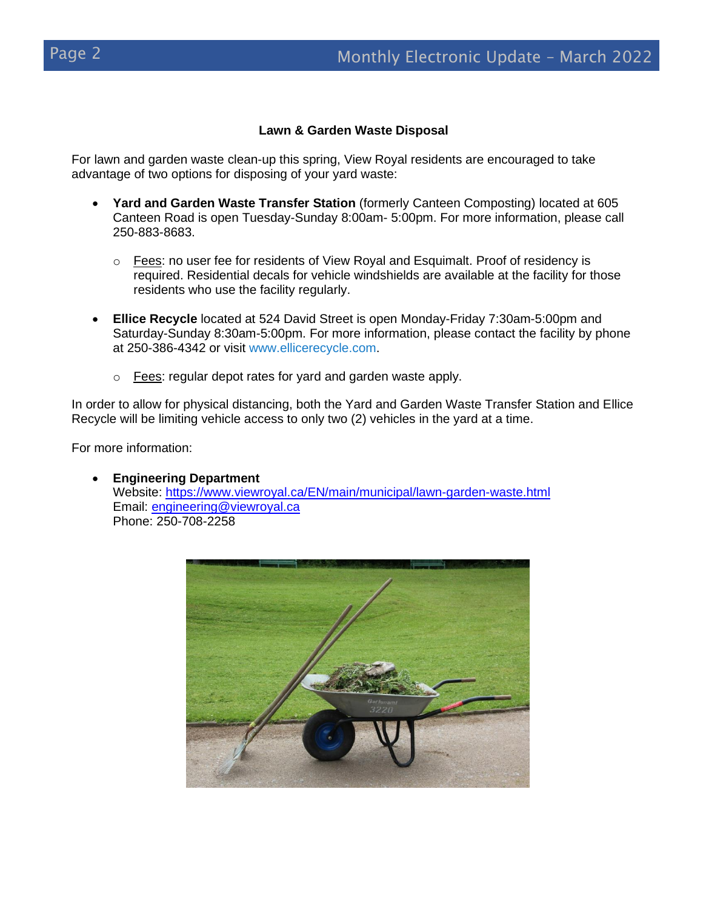#### **Lawn & Garden Waste Disposal**

For lawn and garden waste clean-up this spring, View Royal residents are encouraged to take advantage of two options for disposing of your yard waste:

- **Yard and Garden Waste Transfer Station** (formerly Canteen Composting) located at 605 Canteen Road is open Tuesday-Sunday 8:00am- 5:00pm. For more information, please call 250-883-8683.
	- $\circ$  Fees: no user fee for residents of View Royal and Esquimalt. Proof of residency is required. Residential decals for vehicle windshields are available at the facility for those residents who use the facility regularly.
- **Ellice Recycle** located at 524 David Street is open Monday-Friday 7:30am-5:00pm and Saturday-Sunday 8:30am-5:00pm. For more information, please contact the facility by phone at 250-386-4342 or visit [www.ellicerecycle.com.](http://www.ellicerecycle.com/)
	- $\circ$  Fees: regular depot rates for yard and garden waste apply.

In order to allow for physical distancing, both the Yard and Garden Waste Transfer Station and Ellice Recycle will be limiting vehicle access to only two (2) vehicles in the yard at a time.

For more information:

• **Engineering Department** Website:<https://www.viewroyal.ca/EN/main/municipal/lawn-garden-waste.html> Email: [engineering@viewroyal.ca](mailto:engineering@viewroyal.ca) Phone: 250-708-2258

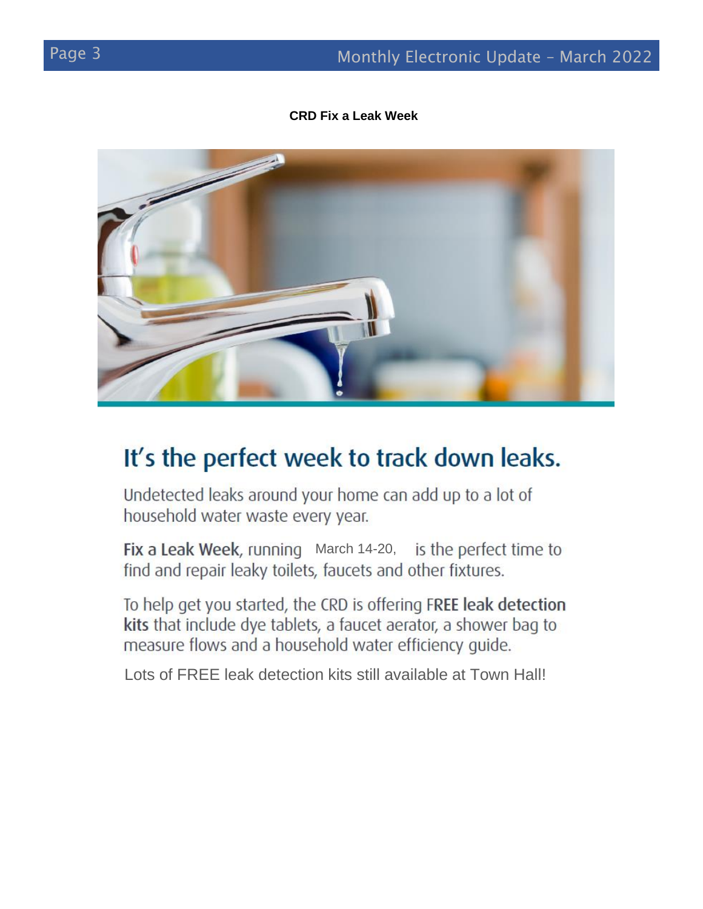#### **CRD Fix a Leak Week**



# It's the perfect week to track down leaks.

Undetected leaks around your home can add up to a lot of household water waste every year.

March 14-20, find and repair leaky toilets, faucets and other fixtures.

To help get you started, the CRD is offering FREE leak detection kits that include dye tablets, a faucet aerator, a shower bag to measure flows and a household water efficiency guide.

Lots of FREE leak detection kits still available at Town Hall!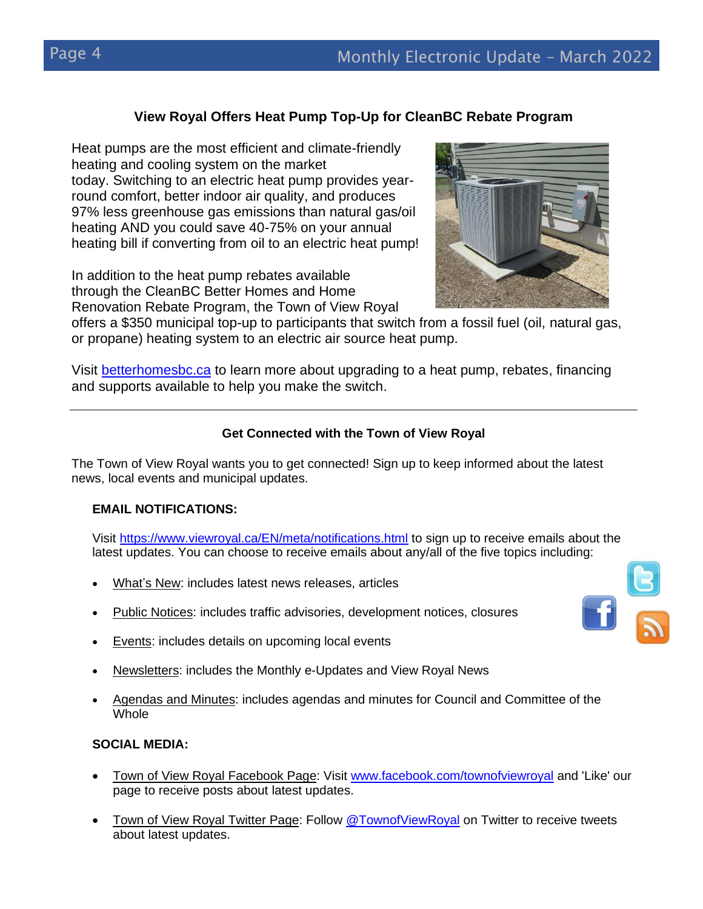## **View Royal Offers Heat Pump Top-Up for CleanBC Rebate Program**

Heat pumps are the most efficient and climate-friendly heating and cooling system on the market today. Switching to an electric heat pump provides yearround comfort, better indoor air quality, and produces 97% less greenhouse gas emissions than natural gas/oil heating AND you could save 40-75% on your annual heating bill if converting from oil to an electric heat pump!

In addition to the heat pump rebates available through the CleanBC Better Homes and Home Renovation Rebate Program, the Town of View Royal

offers a \$350 municipal top-up to participants that switch from a fossil fuel (oil, natural gas, or propane) heating system to an electric air source heat pump.

Visit [betterhomesbc.ca](https://t.co/vDKdBsTtGu) to learn more about upgrading to a heat pump, rebates, financing and supports available to help you make the switch.

### **Get Connected with the Town of View Royal**

The Town of View Royal wants you to get connected! Sign up to keep informed about the latest news, local events and municipal updates.

### **EMAIL NOTIFICATIONS:**

Visit<https://www.viewroyal.ca/EN/meta/notifications.html> to sign up to receive emails about the latest updates. You can choose to receive emails about any/all of the five topics including:

- What's New: includes latest news releases, articles
- Public Notices: includes traffic advisories, development notices, closures
- Events: includes details on upcoming local events
- Newsletters: includes the Monthly e-Updates and View Royal News
- Agendas and Minutes: includes agendas and minutes for Council and Committee of the Whole

### **SOCIAL MEDIA:**

- Town of View Royal Facebook Page: Visit [www.facebook.com/townofviewroyal](http://www.facebook.com/townofviewroyal) and 'Like' our page to receive posts about latest updates.
- Town of View Royal Twitter Page: Follow [@TownofViewRoyal](http://www.twitter.com/townofviewroyal) on Twitter to receive tweets about latest updates.



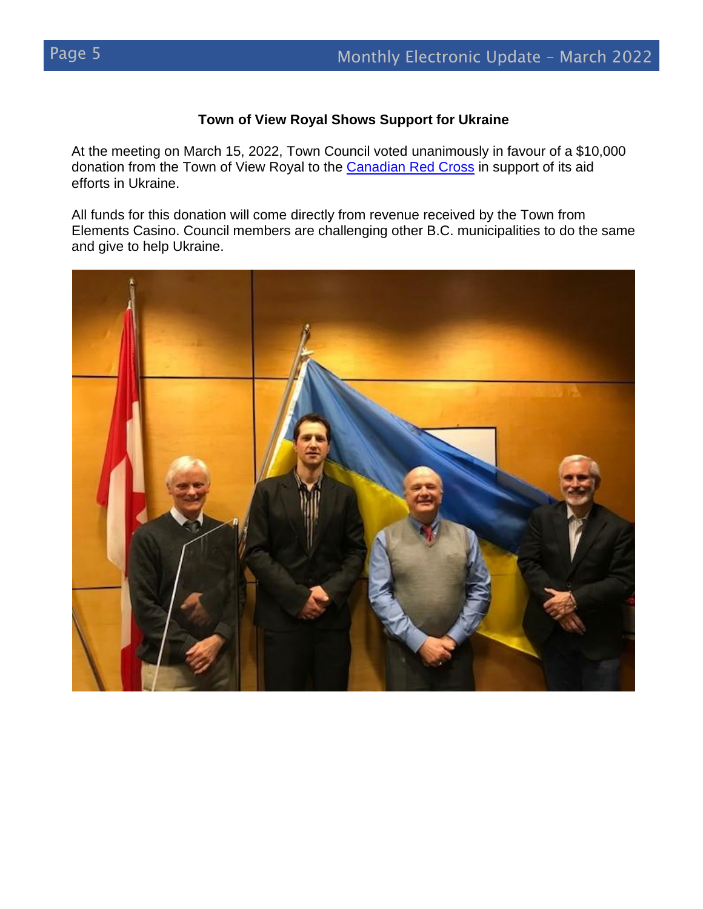#### **Town of View Royal Shows Support for Ukraine**

At the meeting on March 15, 2022, Town Council voted unanimously in favour of a \$10,000 donation from the Town of View Royal to the [Canadian Red Cross](https://donate.redcross.ca/page/100227/-/1?gclid=EAIaIQobChMI9rursOja9gIVqxatBh2WrAwoEAAYAyAAEgKqmvD_BwE) in support of its aid efforts in Ukraine.

All funds for this donation will come directly from revenue received by the Town from Elements Casino. Council members are challenging other B.C. municipalities to do the same and give to help Ukraine.